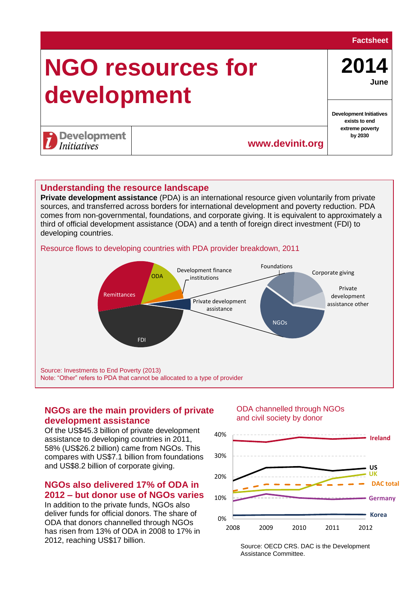#### **Factsheet**

# **NGO resources for development**

**2014 June**

**Development Initiatives exists to end extreme poverty by 2030**

**Ireland**

**US UK**

**DAC total**

**Germany**

**Development** *Initiatives* 

# **Understanding the resource landscape**

**Private development assistance** (PDA) is an international resource given voluntarily from private sources, and transferred across borders for international development and poverty reduction. PDA comes from non-governmental, foundations, and corporate giving. It is equivalent to approximately a third of official development assistance (ODA) and a tenth of foreign direct investment (FDI) to developing countries.

#### Resource flows to developing countries with PDA provider breakdown, 2011



10%

20%

30%

40%

# **NGOs are the main providers of private development assistance**

#### ODA channelled through NGOs and civil society by donor

**www.devinit.org**

Of the US\$45.3 billion of private development Or the OS 43.5 billion of private developments in 2011, 58% (US\$26.2 billion) came from NGOs. This compares with US\$7.1 billion from foundations and US\$8.2 billion of corporate giving. Assistance to developing countries in 2011, **Cananot be allocated to a type of provider**.

# **NGOs also delivered 17% of ODA in 2012 – but donor use of NGOs varies**

In addition to the private funds, NGOs also deliver funds for official donors. The share of ODA that donors channelled through NGOs has risen from 13% of ODA in 2008 to 17% in 2012, reaching US\$17 billion.

Source: OECD CRS. DAC is the Development 2008 2009 2010 2011 2012

0% **Korea** 1989 **Korea** 1989 **Korea** 1989 **Korea** 

Assistance Committee.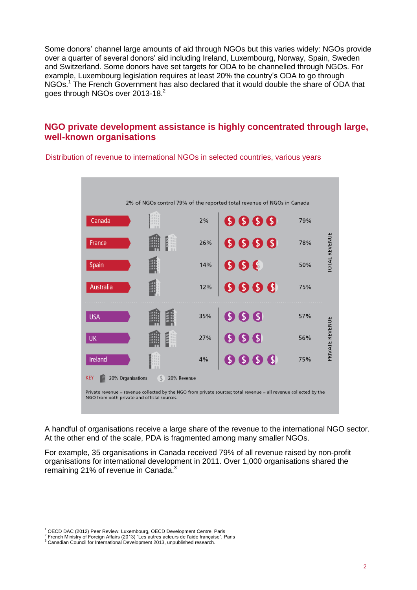Some donors' channel large amounts of aid through NGOs but this varies widely: NGOs provide over a quarter of several donors' aid including Ireland, Luxembourg, Norway, Spain, Sweden and Switzerland. Some donors have set targets for ODA to be channelled through NGOs. For example, Luxembourg legislation requires at least 20% the country's ODA to go through NGOs.<sup>1</sup> The French Government has also declared that it would double the share of ODA that goes through NGOs over 2013-18. $^2$ 

# **NGO private development assistance is highly concentrated through large, well-known organisations**

2% of NGOs control 79% of the reported total revenue of NGOs in Canada  $6666$ Canada  $2%$ 79% REVENUE  $\bullet$   $\bullet$   $\bullet$   $\bullet$ France 26% 78% **TOTAL**  $\bullet$   $\bullet$   $\bullet$ Spain 14% 50%  $S S S S$ Australia 12% 75%  $S S S$ 35% **USA** 57% **PRIVATE REVENUE**  $S<sub>s</sub>$ | UK 27% 56%  $\bigcirc$   $\bigcirc$   $\bigcirc$ 75% Ireland  $4%$ **KEY** 20% Organisations  $$$  20% Revenue Private revenue = revenue collected by the NGO from private sources; total revenue = all revenue collected by the NGO from both private and official sources.

Distribution of revenue to international NGOs in selected countries, various years

A handful of organisations receive a large share of the revenue to the international NGO sector. At the other end of the scale, PDA is fragmented among many smaller NGOs.

For example, 35 organisations in Canada received 79% of all revenue raised by non-profit organisations for international development in 2011. Over 1,000 organisations shared the remaining 21% of revenue in Canada.<sup>3</sup>

<sup>1</sup> OECD DAC (2012) Peer Review: Luxembourg, OECD Development Centre, Paris

<sup>&</sup>lt;sup>2</sup> French Ministry of Foreign Affairs (2013) "Les autres acteurs de l'aide française", Paris

<sup>3</sup> Canadian Council for International Development 2013, unpublished research.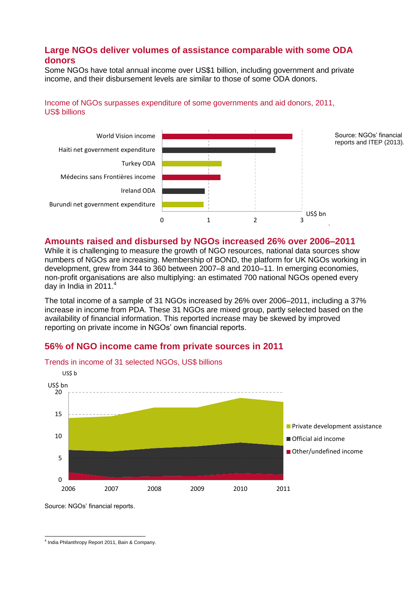# **Large NGOs deliver volumes of assistance comparable with some ODA donors**

Some NGOs have total annual income over US\$1 billion, including government and private income, and their disbursement levels are similar to those of some ODA donors.

## Income of NGOs surpasses expenditure of some governments and aid donors, 2011, US\$ billions



## **Amounts raised and disbursed by NGOs increased 26% over 2006–2011**

While it is challenging to measure the growth of NGO resources, national data sources show numbers of NGOs are increasing. Membership of BOND, the platform for UK NGOs working in development, grew from 344 to 360 between 2007–8 and 2010–11. In emerging economies, non-profit organisations are also multiplying: an estimated 700 national NGOs opened every day in India in 2011.<sup>4</sup>

The total income of a sample of 31 NGOs increased by 26% over 2006–2011, including a 37% increase in income from PDA. These 31 NGOs are mixed group, partly selected based on the availability of financial information. This reported increase may be skewed by improved reporting on private income in NGOs' own financial reports.

## **56% of NGO income came from private sources in 2011**



Trends in income of 31 selected NGOs, US\$ billions

Source: NGOs' financial reports.

 4 India Philanthropy Report 2011, Bain & Company.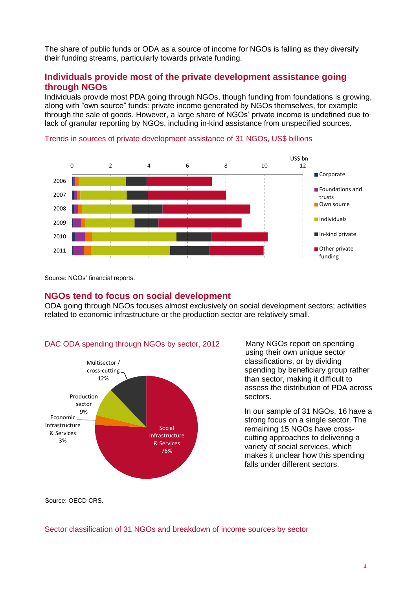The share of public funds or ODA as a source of income for NGOs is falling as they diversify their funding streams, particularly towards private funding.

## **Individuals provide most of the private development assistance going through NGOs**

Individuals provide most PDA going through NGOs, though funding from foundations is growing, along with "own source" funds: private income generated by NGOs themselves, for example through the sale of goods. However, a large share of NGOs' private income is undefined due to lack of granular reporting by NGOs, including in-kind assistance from unspecified sources.



#### Trends in sources of private development assistance of 31 NGOs, US\$ billions

Source: NGOs' financial reports.

#### **NGOs tend to focus on social development**

ODA going through NGOs focuses almost exclusively on social development sectors; activities related to economic infrastructure or the production sector are relatively small.



Many NGOs report on spending using their own unique sector classifications, or by dividing spending by beneficiary group rather than sector, making it difficult to assess the distribution of PDA across sectors.

In our sample of 31 NGOs, 16 have a strong focus on a single sector. The remaining 15 NGOs have crosscutting approaches to delivering a variety of social services, which makes it unclear how this spending falls under different sectors.

Source: OECD CRS.

Sector classification of 31 NGOs and breakdown of income sources by sector